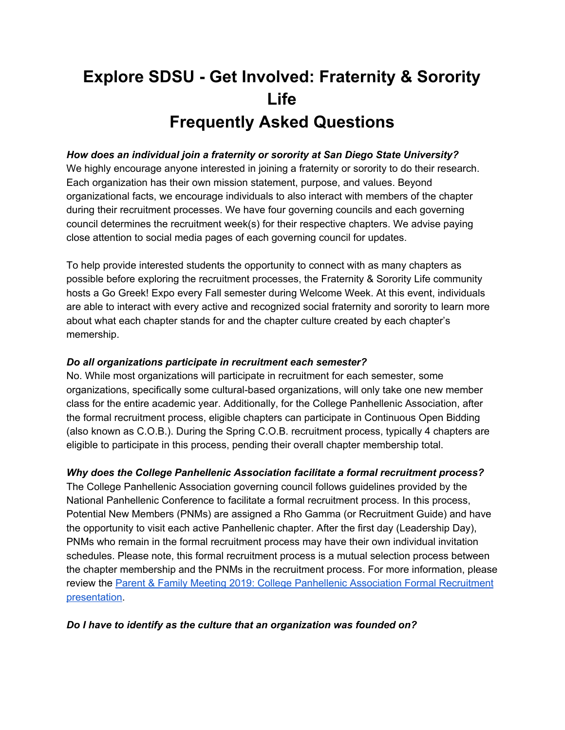# **Explore SDSU - Get Involved: Fraternity & Sorority Life Frequently Asked Questions**

## *How does an individual join a fraternity or sorority at San Diego State University?*

We highly encourage anyone interested in joining a fraternity or sorority to do their research. Each organization has their own mission statement, purpose, and values. Beyond organizational facts, we encourage individuals to also interact with members of the chapter during their recruitment processes. We have four governing councils and each governing council determines the recruitment week(s) for their respective chapters. We advise paying close attention to social media pages of each governing council for updates.

To help provide interested students the opportunity to connect with as many chapters as possible before exploring the recruitment processes, the Fraternity & Sorority Life community hosts a Go Greek! Expo every Fall semester during Welcome Week. At this event, individuals are able to interact with every active and recognized social fraternity and sorority to learn more about what each chapter stands for and the chapter culture created by each chapter's memership.

## *Do all organizations participate in recruitment each semester?*

No. While most organizations will participate in recruitment for each semester, some organizations, specifically some cultural-based organizations, will only take one new member class for the entire academic year. Additionally, for the College Panhellenic Association, after the formal recruitment process, eligible chapters can participate in Continuous Open Bidding (also known as C.O.B.). During the Spring C.O.B. recruitment process, typically 4 chapters are eligible to participate in this process, pending their overall chapter membership total.

## *Why does the College Panhellenic Association facilitate a formal recruitment process?*

The College Panhellenic Association governing council follows guidelines provided by the National Panhellenic Conference to facilitate a formal recruitment process. In this process, Potential New Members (PNMs) are assigned a Rho Gamma (or Recruitment Guide) and have the opportunity to visit each active Panhellenic chapter. After the first day (Leadership Day), PNMs who remain in the formal recruitment process may have their own individual invitation schedules. Please note, this formal recruitment process is a mutual selection process between the chapter membership and the PNMs in the recruitment process. For more information, please review the Parent & Family Meeting 2019: College Panhellenic Association Formal [Recruitment](https://drive.google.com/file/d/1wlt3Fv7v8jR7tfodeLmKdjB2HDPCexAS/view) [presentation.](https://drive.google.com/file/d/1wlt3Fv7v8jR7tfodeLmKdjB2HDPCexAS/view)

## *Do I have to identify as the culture that an organization was founded on?*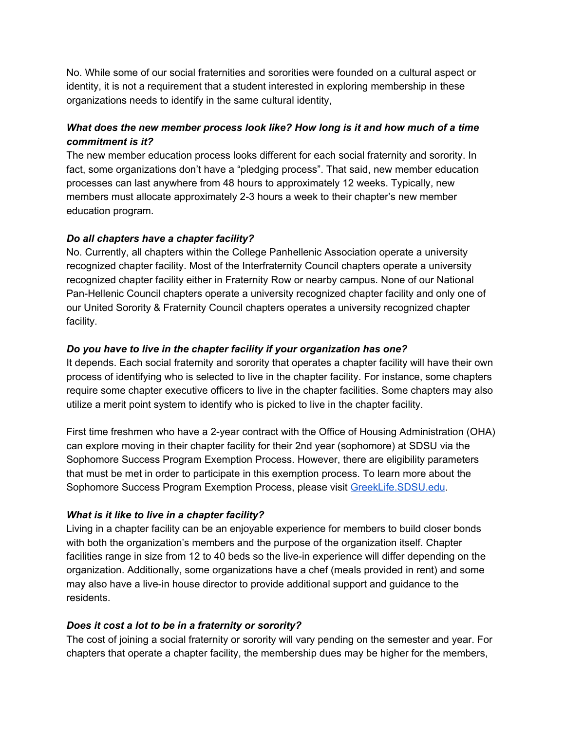No. While some of our social fraternities and sororities were founded on a cultural aspect or identity, it is not a requirement that a student interested in exploring membership in these organizations needs to identify in the same cultural identity,

# *What does the new member process look like? How long is it and how much of a time commitment is it?*

The new member education process looks different for each social fraternity and sorority. In fact, some organizations don't have a "pledging process". That said, new member education processes can last anywhere from 48 hours to approximately 12 weeks. Typically, new members must allocate approximately 2-3 hours a week to their chapter's new member education program.

# *Do all chapters have a chapter facility?*

No. Currently, all chapters within the College Panhellenic Association operate a university recognized chapter facility. Most of the Interfraternity Council chapters operate a university recognized chapter facility either in Fraternity Row or nearby campus. None of our National Pan-Hellenic Council chapters operate a university recognized chapter facility and only one of our United Sorority & Fraternity Council chapters operates a university recognized chapter facility.

# *Do you have to live in the chapter facility if your organization has one?*

It depends. Each social fraternity and sorority that operates a chapter facility will have their own process of identifying who is selected to live in the chapter facility. For instance, some chapters require some chapter executive officers to live in the chapter facilities. Some chapters may also utilize a merit point system to identify who is picked to live in the chapter facility.

First time freshmen who have a 2-year contract with the Office of Housing Administration (OHA) can explore moving in their chapter facility for their 2nd year (sophomore) at SDSU via the Sophomore Success Program Exemption Process. However, there are eligibility parameters that must be met in order to participate in this exemption process. To learn more about the Sophomore Success Program Exemption Process, please visit [GreekLife.SDSU.edu](https://newscenter.sdsu.edu/student_affairs/sll/greek_life_-_forms.aspx).

# *What is it like to live in a chapter facility?*

Living in a chapter facility can be an enjoyable experience for members to build closer bonds with both the organization's members and the purpose of the organization itself. Chapter facilities range in size from 12 to 40 beds so the live-in experience will differ depending on the organization. Additionally, some organizations have a chef (meals provided in rent) and some may also have a live-in house director to provide additional support and guidance to the residents.

# *Does it cost a lot to be in a fraternity or sorority?*

The cost of joining a social fraternity or sorority will vary pending on the semester and year. For chapters that operate a chapter facility, the membership dues may be higher for the members,